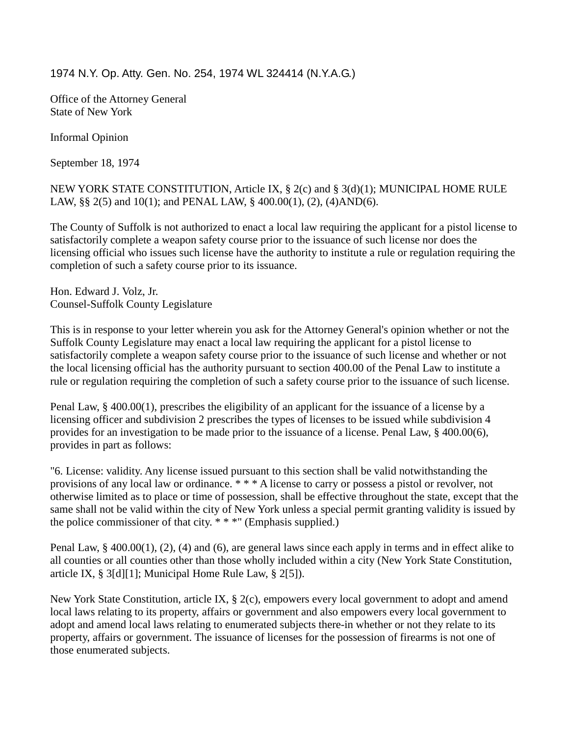1974 N.Y. Op. Atty. Gen. No. 254, 1974 WL 324414 (N.Y.A.G.)

Office of the Attorney General State of New York

Informal Opinion

September 18, 1974

NEW YORK STATE CONSTITUTION, Article IX, § 2(c) and § 3(d)(1); MUNICIPAL HOME RULE LAW, §§ 2(5) and 10(1); and PENAL LAW, § 400.00(1), (2), (4)AND(6).

The County of Suffolk is not authorized to enact a local law requiring the applicant for a pistol license to satisfactorily complete a weapon safety course prior to the issuance of such license nor does the licensing official who issues such license have the authority to institute a rule or regulation requiring the completion of such a safety course prior to its issuance.

Hon. Edward J. Volz, Jr. Counsel-Suffolk County Legislature

This is in response to your letter wherein you ask for the Attorney General's opinion whether or not the Suffolk County Legislature may enact a local law requiring the applicant for a pistol license to satisfactorily complete a weapon safety course prior to the issuance of such license and whether or not the local licensing official has the authority pursuant to section 400.00 of the Penal Law to institute a rule or regulation requiring the completion of such a safety course prior to the issuance of such license.

Penal Law, § 400.00(1), prescribes the eligibility of an applicant for the issuance of a license by a licensing officer and subdivision 2 prescribes the types of licenses to be issued while subdivision 4 provides for an investigation to be made prior to the issuance of a license. Penal Law, § 400.00(6), provides in part as follows:

"6. License: validity. Any license issued pursuant to this section shall be valid notwithstanding the provisions of any local law or ordinance. \* \* \* A license to carry or possess a pistol or revolver, not otherwise limited as to place or time of possession, shall be effective throughout the state, except that the same shall not be valid within the city of New York unless a special permit granting validity is issued by the police commissioner of that city.  $***$ " (Emphasis supplied.)

Penal Law, § 400.00(1), (2), (4) and (6), are general laws since each apply in terms and in effect alike to all counties or all counties other than those wholly included within a city (New York State Constitution, article IX, § 3[d][1]; Municipal Home Rule Law, § 2[5]).

New York State Constitution, article IX, § 2(c), empowers every local government to adopt and amend local laws relating to its property, affairs or government and also empowers every local government to adopt and amend local laws relating to enumerated subjects there-in whether or not they relate to its property, affairs or government. The issuance of licenses for the possession of firearms is not one of those enumerated subjects.